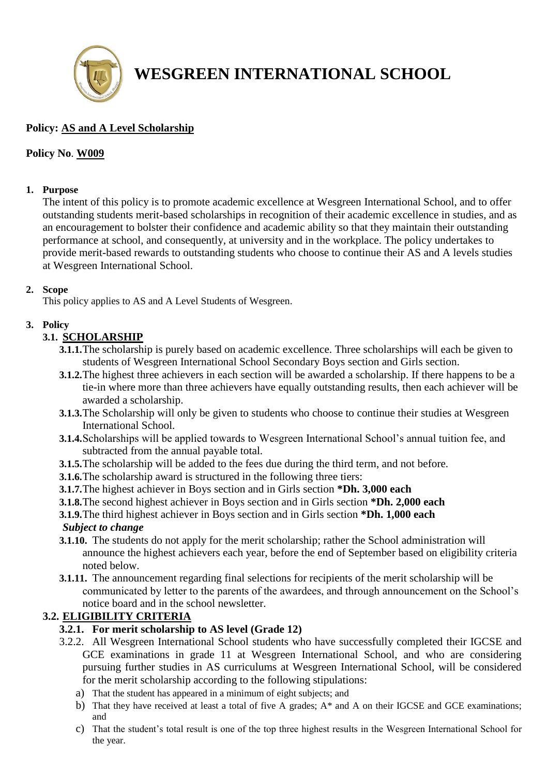

# **WESGREEN INTERNATIONAL SCHOOL**

# **Policy: AS and A Level Scholarship**

#### **Policy No**. **W009**

#### **1. Purpose**

The intent of this policy is to promote academic excellence at Wesgreen International School, and to offer outstanding students merit-based scholarships in recognition of their academic excellence in studies, and as an encouragement to bolster their confidence and academic ability so that they maintain their outstanding performance at school, and consequently, at university and in the workplace. The policy undertakes to provide merit-based rewards to outstanding students who choose to continue their AS and A levels studies at Wesgreen International School.

#### **2. Scope**

This policy applies to AS and A Level Students of Wesgreen.

## **3. Policy**

## **3.1. SCHOLARSHIP**

- **3.1.1.**The scholarship is purely based on academic excellence. Three scholarships will each be given to students of Wesgreen International School Secondary Boys section and Girls section.
- **3.1.2.**The highest three achievers in each section will be awarded a scholarship. If there happens to be a tie-in where more than three achievers have equally outstanding results, then each achiever will be awarded a scholarship.
- **3.1.3.**The Scholarship will only be given to students who choose to continue their studies at Wesgreen International School.
- **3.1.4.**Scholarships will be applied towards to Wesgreen International School's annual tuition fee, and subtracted from the annual payable total.
- **3.1.5.**The scholarship will be added to the fees due during the third term, and not before.
- **3.1.6.**The scholarship award is structured in the following three tiers:
- **3.1.7.**The highest achiever in Boys section and in Girls section **\*Dh. 3,000 each**
- **3.1.8.**The second highest achiever in Boys section and in Girls section **\*Dh. 2,000 each**
- **3.1.9.**The third highest achiever in Boys section and in Girls section **\*Dh. 1,000 each**

#### *Subject to change*

- **3.1.10.** The students do not apply for the merit scholarship; rather the School administration will announce the highest achievers each year, before the end of September based on eligibility criteria noted below.
- **3.1.11.** The announcement regarding final selections for recipients of the merit scholarship will be communicated by letter to the parents of the awardees, and through announcement on the School's notice board and in the school newsletter.

## **3.2. ELIGIBILITY CRITERIA**

- **3.2.1. For merit scholarship to AS level (Grade 12)**
- 3.2.2. All Wesgreen International School students who have successfully completed their IGCSE and GCE examinations in grade 11 at Wesgreen International School, and who are considering pursuing further studies in AS curriculums at Wesgreen International School, will be considered for the merit scholarship according to the following stipulations:
	- a) That the student has appeared in a minimum of eight subjects; and
	- b) That they have received at least a total of five A grades; A\* and A on their IGCSE and GCE examinations; and
	- c) That the student's total result is one of the top three highest results in the Wesgreen International School for the year.